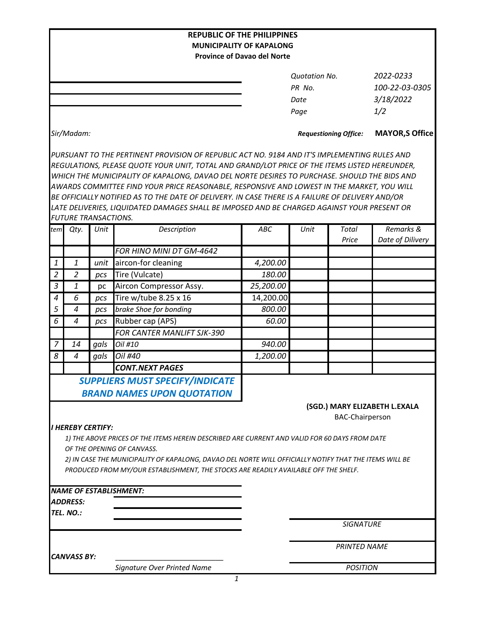|                                                                                                        |                                                                                               |      |                                                                                                  | <b>REPUBLIC OF THE PHILIPPINES</b> |                              |                        |                               |  |  |  |  |  |  |
|--------------------------------------------------------------------------------------------------------|-----------------------------------------------------------------------------------------------|------|--------------------------------------------------------------------------------------------------|------------------------------------|------------------------------|------------------------|-------------------------------|--|--|--|--|--|--|
| <b>MUNICIPALITY OF KAPALONG</b>                                                                        |                                                                                               |      |                                                                                                  |                                    |                              |                        |                               |  |  |  |  |  |  |
|                                                                                                        |                                                                                               |      |                                                                                                  | <b>Province of Davao del Norte</b> |                              |                        |                               |  |  |  |  |  |  |
|                                                                                                        |                                                                                               |      |                                                                                                  |                                    | <b>Quotation No.</b>         |                        | 2022-0233                     |  |  |  |  |  |  |
|                                                                                                        |                                                                                               |      |                                                                                                  | PR No.                             |                              |                        | 100-22-03-0305                |  |  |  |  |  |  |
|                                                                                                        |                                                                                               |      |                                                                                                  | Date                               |                              | 3/18/2022              |                               |  |  |  |  |  |  |
|                                                                                                        |                                                                                               |      |                                                                                                  |                                    | Page                         |                        | 1/2                           |  |  |  |  |  |  |
|                                                                                                        |                                                                                               |      |                                                                                                  |                                    |                              |                        |                               |  |  |  |  |  |  |
|                                                                                                        | Sir/Madam:                                                                                    |      |                                                                                                  |                                    | <b>Requestioning Office:</b> |                        | <b>MAYOR, S Office</b>        |  |  |  |  |  |  |
|                                                                                                        |                                                                                               |      | PURSUANT TO THE PERTINENT PROVISION OF REPUBLIC ACT NO. 9184 AND IT'S IMPLEMENTING RULES AND     |                                    |                              |                        |                               |  |  |  |  |  |  |
|                                                                                                        | REGULATIONS, PLEASE QUOTE YOUR UNIT, TOTAL AND GRAND/LOT PRICE OF THE ITEMS LISTED HEREUNDER, |      |                                                                                                  |                                    |                              |                        |                               |  |  |  |  |  |  |
|                                                                                                        | WHICH THE MUNICIPALITY OF KAPALONG, DAVAO DEL NORTE DESIRES TO PURCHASE. SHOULD THE BIDS AND  |      |                                                                                                  |                                    |                              |                        |                               |  |  |  |  |  |  |
|                                                                                                        |                                                                                               |      | AWARDS COMMITTEE FIND YOUR PRICE REASONABLE, RESPONSIVE AND LOWEST IN THE MARKET, YOU WILL       |                                    |                              |                        |                               |  |  |  |  |  |  |
|                                                                                                        |                                                                                               |      | BE OFFICIALLY NOTIFIED AS TO THE DATE OF DELIVERY. IN CASE THERE IS A FAILURE OF DELIVERY AND/OR |                                    |                              |                        |                               |  |  |  |  |  |  |
|                                                                                                        |                                                                                               |      | LATE DELIVERIES, LIQUIDATED DAMAGES SHALL BE IMPOSED AND BE CHARGED AGAINST YOUR PRESENT OR      |                                    |                              |                        |                               |  |  |  |  |  |  |
|                                                                                                        | <b>FUTURE TRANSACTIONS.</b>                                                                   |      |                                                                                                  |                                    |                              |                        |                               |  |  |  |  |  |  |
| tem                                                                                                    | Qty.                                                                                          | Unit | Description                                                                                      | ABC                                | Unit                         | Total<br>Price         | Remarks &<br>Date of Dilivery |  |  |  |  |  |  |
|                                                                                                        |                                                                                               |      | FOR HINO MINI DT GM-4642                                                                         |                                    |                              |                        |                               |  |  |  |  |  |  |
| 1                                                                                                      | 1                                                                                             | unit | aircon-for cleaning                                                                              | 4,200.00                           |                              |                        |                               |  |  |  |  |  |  |
| $\overline{2}$                                                                                         | $\overline{2}$                                                                                | pcs  | Tire (Vulcate)                                                                                   | 180.00                             |                              |                        |                               |  |  |  |  |  |  |
| $\mathfrak{Z}$                                                                                         | 1                                                                                             | pc   | Aircon Compressor Assy.                                                                          | 25,200.00                          |                              |                        |                               |  |  |  |  |  |  |
| $\boldsymbol{4}$                                                                                       | 6                                                                                             | pcs  | Tire w/tube 8.25 x 16                                                                            | 14,200.00                          |                              |                        |                               |  |  |  |  |  |  |
| 5                                                                                                      | $\overline{a}$                                                                                | pcs  | brake Shoe for bonding                                                                           | 800.00                             |                              |                        |                               |  |  |  |  |  |  |
| 6                                                                                                      | $\overline{4}$                                                                                | pcs  | Rubber cap (APS)                                                                                 | 60.00                              |                              |                        |                               |  |  |  |  |  |  |
|                                                                                                        |                                                                                               |      | <b>FOR CANTER MANLIFT SJK-390</b>                                                                |                                    |                              |                        |                               |  |  |  |  |  |  |
| 7                                                                                                      | 14                                                                                            | gals | Oil #10                                                                                          | 940.00                             |                              |                        |                               |  |  |  |  |  |  |
| 8                                                                                                      | $\boldsymbol{4}$                                                                              | gals | Oil #40                                                                                          | 1,200.00                           |                              |                        |                               |  |  |  |  |  |  |
|                                                                                                        |                                                                                               |      | <b>CONT.NEXT PAGES</b>                                                                           |                                    |                              |                        |                               |  |  |  |  |  |  |
|                                                                                                        |                                                                                               |      | <b>SUPPLIERS MUST SPECIFY/INDICATE</b>                                                           |                                    |                              |                        |                               |  |  |  |  |  |  |
|                                                                                                        |                                                                                               |      | <b>BRAND NAMES UPON QUOTATION</b>                                                                |                                    |                              |                        |                               |  |  |  |  |  |  |
|                                                                                                        |                                                                                               |      |                                                                                                  |                                    |                              |                        | (SGD.) MARY ELIZABETH L.EXALA |  |  |  |  |  |  |
|                                                                                                        |                                                                                               |      |                                                                                                  |                                    |                              | <b>BAC-Chairperson</b> |                               |  |  |  |  |  |  |
|                                                                                                        | <b>I HEREBY CERTIFY:</b>                                                                      |      |                                                                                                  |                                    |                              |                        |                               |  |  |  |  |  |  |
|                                                                                                        |                                                                                               |      | 1) THE ABOVE PRICES OF THE ITEMS HEREIN DESCRIBED ARE CURRENT AND VALID FOR 60 DAYS FROM DATE    |                                    |                              |                        |                               |  |  |  |  |  |  |
|                                                                                                        |                                                                                               |      | OF THE OPENING OF CANVASS.                                                                       |                                    |                              |                        |                               |  |  |  |  |  |  |
| 2) IN CASE THE MUNICIPALITY OF KAPALONG, DAVAO DEL NORTE WILL OFFICIALLY NOTIFY THAT THE ITEMS WILL BE |                                                                                               |      |                                                                                                  |                                    |                              |                        |                               |  |  |  |  |  |  |
|                                                                                                        |                                                                                               |      | PRODUCED FROM MY/OUR ESTABLISHMENT, THE STOCKS ARE READILY AVAILABLE OFF THE SHELF.              |                                    |                              |                        |                               |  |  |  |  |  |  |
|                                                                                                        |                                                                                               |      |                                                                                                  |                                    |                              |                        |                               |  |  |  |  |  |  |
|                                                                                                        |                                                                                               |      | NAME OF ESTABLISHMENT:                                                                           |                                    |                              |                        |                               |  |  |  |  |  |  |
|                                                                                                        | ADDRESS:<br>TEL. NO.:                                                                         |      |                                                                                                  |                                    |                              |                        |                               |  |  |  |  |  |  |
|                                                                                                        |                                                                                               |      |                                                                                                  |                                    | <b>SIGNATURE</b>             |                        |                               |  |  |  |  |  |  |
|                                                                                                        |                                                                                               |      |                                                                                                  |                                    |                              |                        |                               |  |  |  |  |  |  |
|                                                                                                        |                                                                                               |      |                                                                                                  |                                    | <b>PRINTED NAME</b>          |                        |                               |  |  |  |  |  |  |
|                                                                                                        | <b>CANVASS BY:</b>                                                                            |      |                                                                                                  |                                    |                              |                        |                               |  |  |  |  |  |  |
|                                                                                                        |                                                                                               |      | Signature Over Printed Name                                                                      |                                    |                              | <b>POSITION</b>        |                               |  |  |  |  |  |  |
|                                                                                                        |                                                                                               |      | $\mathbf{1}$                                                                                     |                                    |                              |                        |                               |  |  |  |  |  |  |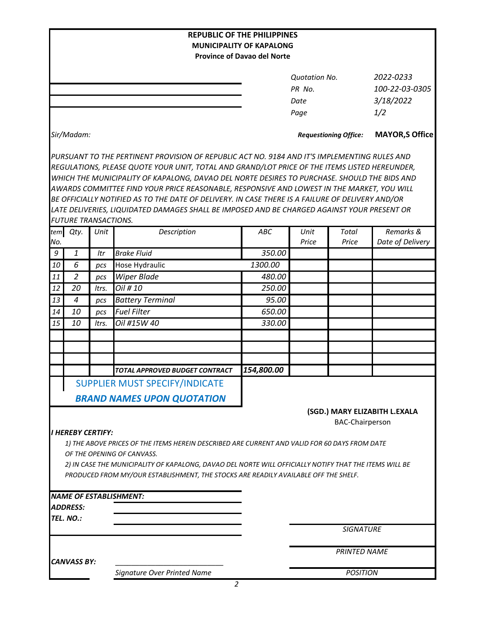|                                                                       |                             |       |                                                                                                                                                                                               | <b>REPUBLIC OF THE PHILIPPINES</b> |                              |                        |                               |  |  |  |
|-----------------------------------------------------------------------|-----------------------------|-------|-----------------------------------------------------------------------------------------------------------------------------------------------------------------------------------------------|------------------------------------|------------------------------|------------------------|-------------------------------|--|--|--|
| <b>MUNICIPALITY OF KAPALONG</b><br><b>Province of Davao del Norte</b> |                             |       |                                                                                                                                                                                               |                                    |                              |                        |                               |  |  |  |
|                                                                       |                             |       |                                                                                                                                                                                               |                                    |                              |                        |                               |  |  |  |
|                                                                       |                             |       |                                                                                                                                                                                               |                                    | <b>Quotation No.</b>         |                        | 2022-0233                     |  |  |  |
|                                                                       |                             |       |                                                                                                                                                                                               | PR No.                             |                              |                        | 100-22-03-0305                |  |  |  |
|                                                                       |                             |       |                                                                                                                                                                                               |                                    | Date                         |                        | 3/18/2022                     |  |  |  |
|                                                                       |                             |       |                                                                                                                                                                                               |                                    | Page                         |                        | 1/2                           |  |  |  |
|                                                                       | Sir/Madam:                  |       |                                                                                                                                                                                               |                                    | <b>Requestioning Office:</b> | <b>MAYOR, S Office</b> |                               |  |  |  |
|                                                                       |                             |       | PURSUANT TO THE PERTINENT PROVISION OF REPUBLIC ACT NO. 9184 AND IT'S IMPLEMENTING RULES AND<br>REGULATIONS, PLEASE QUOTE YOUR UNIT, TOTAL AND GRAND/LOT PRICE OF THE ITEMS LISTED HEREUNDER, |                                    |                              |                        |                               |  |  |  |
|                                                                       |                             |       | WHICH THE MUNICIPALITY OF KAPALONG, DAVAO DEL NORTE DESIRES TO PURCHASE. SHOULD THE BIDS AND                                                                                                  |                                    |                              |                        |                               |  |  |  |
|                                                                       |                             |       | AWARDS COMMITTEE FIND YOUR PRICE REASONABLE, RESPONSIVE AND LOWEST IN THE MARKET, YOU WILL                                                                                                    |                                    |                              |                        |                               |  |  |  |
|                                                                       |                             |       | BE OFFICIALLY NOTIFIED AS TO THE DATE OF DELIVERY. IN CASE THERE IS A FAILURE OF DELIVERY AND/OR                                                                                              |                                    |                              |                        |                               |  |  |  |
|                                                                       |                             |       | LATE DELIVERIES, LIQUIDATED DAMAGES SHALL BE IMPOSED AND BE CHARGED AGAINST YOUR PRESENT OR                                                                                                   |                                    |                              |                        |                               |  |  |  |
|                                                                       | <b>FUTURE TRANSACTIONS.</b> |       |                                                                                                                                                                                               |                                    |                              |                        |                               |  |  |  |
| tem                                                                   | Qty.                        | Unit  | Description                                                                                                                                                                                   | ABC                                | Unit                         | Total                  | Remarks &                     |  |  |  |
| No.                                                                   |                             |       |                                                                                                                                                                                               |                                    | Price                        | Price                  | Date of Delivery              |  |  |  |
| 9                                                                     | 1                           | Itr   | <b>Brake Fluid</b>                                                                                                                                                                            | 350.00                             |                              |                        |                               |  |  |  |
| 10                                                                    | 6                           | pcs   | Hose Hydraulic                                                                                                                                                                                | 1300.00                            |                              |                        |                               |  |  |  |
| 11                                                                    | $\overline{2}$              | pcs   | <b>Wiper Blade</b>                                                                                                                                                                            | 480.00                             |                              |                        |                               |  |  |  |
| 12                                                                    | 20                          | Itrs. | Oil # 10                                                                                                                                                                                      | 250.00                             |                              |                        |                               |  |  |  |
| 13                                                                    | $\overline{a}$              | pcs   | <b>Battery Terminal</b>                                                                                                                                                                       | 95.00                              |                              |                        |                               |  |  |  |
| 14                                                                    | 10                          | pcs   | <b>Fuel Filter</b>                                                                                                                                                                            | 650.00                             |                              |                        |                               |  |  |  |
| 15                                                                    | 10                          | Itrs. | Oil #15W 40                                                                                                                                                                                   | 330.00                             |                              |                        |                               |  |  |  |
|                                                                       |                             |       |                                                                                                                                                                                               |                                    |                              |                        |                               |  |  |  |
|                                                                       |                             |       |                                                                                                                                                                                               |                                    |                              |                        |                               |  |  |  |
|                                                                       |                             |       |                                                                                                                                                                                               |                                    |                              |                        |                               |  |  |  |
|                                                                       |                             |       | TOTAL APPROVED BUDGET CONTRACT                                                                                                                                                                | 154,800.00                         |                              |                        |                               |  |  |  |
|                                                                       |                             |       | <b>SUPPLIER MUST SPECIFY/INDICATE</b>                                                                                                                                                         |                                    |                              |                        |                               |  |  |  |
|                                                                       |                             |       | <b>BRAND NAMES UPON QUOTATION</b>                                                                                                                                                             |                                    |                              |                        |                               |  |  |  |
|                                                                       |                             |       |                                                                                                                                                                                               |                                    |                              |                        | (SGD.) MARY ELIZABITH L.EXALA |  |  |  |
|                                                                       |                             |       |                                                                                                                                                                                               |                                    |                              | <b>BAC-Chairperson</b> |                               |  |  |  |
|                                                                       | <b>I HEREBY CERTIFY:</b>    |       |                                                                                                                                                                                               |                                    |                              |                        |                               |  |  |  |
|                                                                       |                             |       | 1) THE ABOVE PRICES OF THE ITEMS HEREIN DESCRIBED ARE CURRENT AND VALID FOR 60 DAYS FROM DATE                                                                                                 |                                    |                              |                        |                               |  |  |  |
|                                                                       |                             |       | OF THE OPENING OF CANVASS.                                                                                                                                                                    |                                    |                              |                        |                               |  |  |  |
|                                                                       |                             |       | 2) IN CASE THE MUNICIPALITY OF KAPALONG, DAVAO DEL NORTE WILL OFFICIALLY NOTIFY THAT THE ITEMS WILL BE                                                                                        |                                    |                              |                        |                               |  |  |  |
|                                                                       |                             |       | PRODUCED FROM MY/OUR ESTABLISHMENT, THE STOCKS ARE READILY AVAILABLE OFF THE SHELF.                                                                                                           |                                    |                              |                        |                               |  |  |  |
|                                                                       |                             |       | <b>NAME OF ESTABLISHMENT:</b>                                                                                                                                                                 |                                    |                              |                        |                               |  |  |  |
|                                                                       | ADDRESS:                    |       |                                                                                                                                                                                               |                                    |                              |                        |                               |  |  |  |
|                                                                       | TEL. NO.:                   |       |                                                                                                                                                                                               |                                    |                              |                        |                               |  |  |  |
|                                                                       |                             |       |                                                                                                                                                                                               |                                    |                              | <b>SIGNATURE</b>       |                               |  |  |  |
|                                                                       |                             |       |                                                                                                                                                                                               |                                    |                              |                        |                               |  |  |  |
|                                                                       |                             |       |                                                                                                                                                                                               |                                    | <b>PRINTED NAME</b>          |                        |                               |  |  |  |
| <b>CANVASS BY:</b>                                                    |                             |       |                                                                                                                                                                                               |                                    |                              |                        |                               |  |  |  |
|                                                                       |                             |       | Signature Over Printed Name                                                                                                                                                                   |                                    |                              | <b>POSITION</b>        |                               |  |  |  |
|                                                                       |                             |       | 2                                                                                                                                                                                             |                                    |                              |                        |                               |  |  |  |